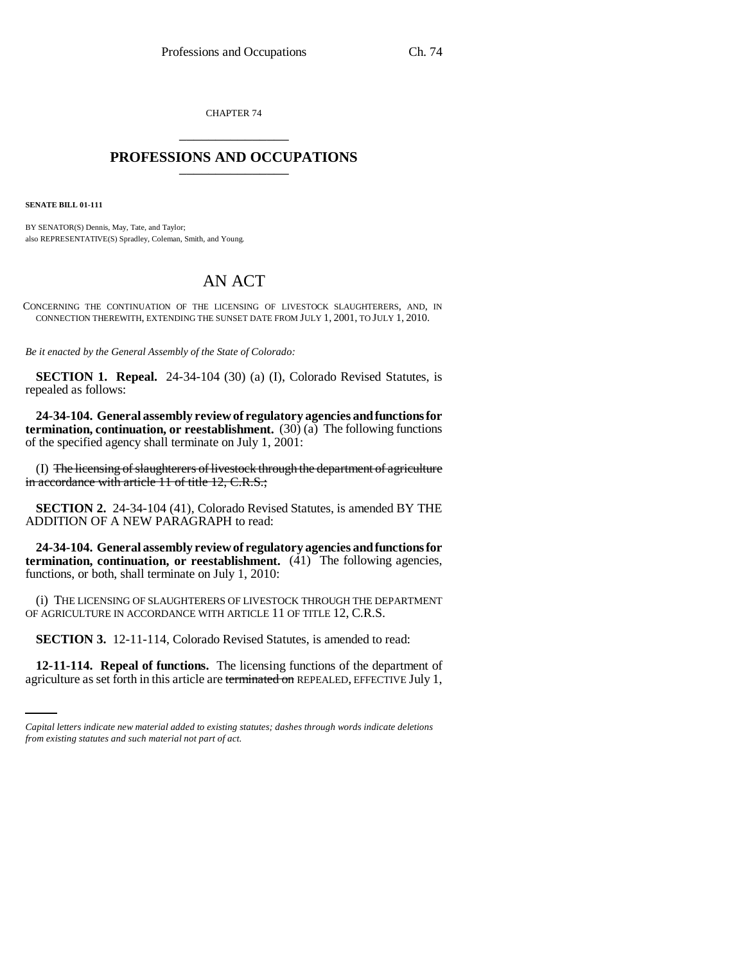CHAPTER 74 \_\_\_\_\_\_\_\_\_\_\_\_\_\_\_

## **PROFESSIONS AND OCCUPATIONS** \_\_\_\_\_\_\_\_\_\_\_\_\_\_\_

**SENATE BILL 01-111**

BY SENATOR(S) Dennis, May, Tate, and Taylor; also REPRESENTATIVE(S) Spradley, Coleman, Smith, and Young.

## AN ACT

CONCERNING THE CONTINUATION OF THE LICENSING OF LIVESTOCK SLAUGHTERERS, AND, IN CONNECTION THEREWITH, EXTENDING THE SUNSET DATE FROM JULY 1, 2001, TO JULY 1, 2010.

*Be it enacted by the General Assembly of the State of Colorado:*

**SECTION 1. Repeal.** 24-34-104 (30) (a) (I), Colorado Revised Statutes, is repealed as follows:

**24-34-104. General assembly review of regulatory agencies and functions for termination, continuation, or reestablishment.** (30) (a) The following functions of the specified agency shall terminate on July 1, 2001:

(I) The licensing of slaughterers of livestock through the department of agriculture in accordance with article 11 of title 12, C.R.S.;

**SECTION 2.** 24-34-104 (41), Colorado Revised Statutes, is amended BY THE ADDITION OF A NEW PARAGRAPH to read:

**24-34-104. General assembly review of regulatory agencies and functions for termination, continuation, or reestablishment.** (41) The following agencies, functions, or both, shall terminate on July 1, 2010:

(i) THE LICENSING OF SLAUGHTERERS OF LIVESTOCK THROUGH THE DEPARTMENT OF AGRICULTURE IN ACCORDANCE WITH ARTICLE 11 OF TITLE 12, C.R.S.

**SECTION 3.** 12-11-114, Colorado Revised Statutes, is amended to read:

**12-11-114. Repeal of functions.** The licensing functions of the department of agriculture as set forth in this article are terminated on REPEALED, EFFECTIVE July 1,

*Capital letters indicate new material added to existing statutes; dashes through words indicate deletions from existing statutes and such material not part of act.*